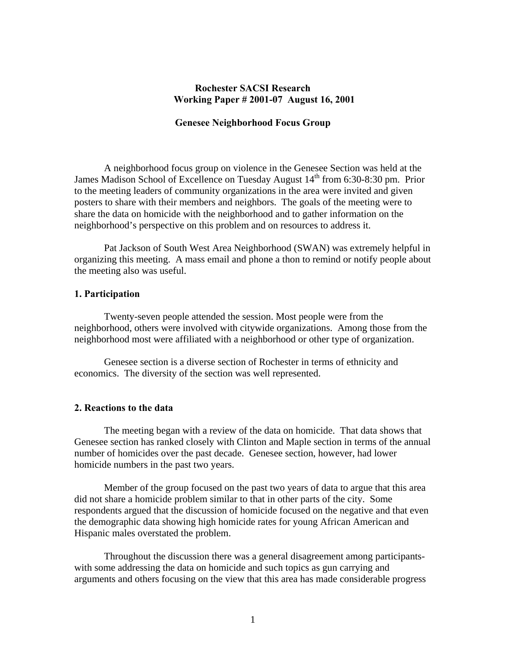# **Rochester SACSI Research Working Paper # 2001-07 August 16, 2001**

## **Genesee Neighborhood Focus Group**

 A neighborhood focus group on violence in the Genesee Section was held at the James Madison School of Excellence on Tuesday August 14<sup>th</sup> from 6:30-8:30 pm. Prior to the meeting leaders of community organizations in the area were invited and given posters to share with their members and neighbors. The goals of the meeting were to share the data on homicide with the neighborhood and to gather information on the neighborhood's perspective on this problem and on resources to address it.

Pat Jackson of South West Area Neighborhood (SWAN) was extremely helpful in organizing this meeting. A mass email and phone a thon to remind or notify people about the meeting also was useful.

#### **1. Participation**

Twenty-seven people attended the session. Most people were from the neighborhood, others were involved with citywide organizations. Among those from the neighborhood most were affiliated with a neighborhood or other type of organization.

Genesee section is a diverse section of Rochester in terms of ethnicity and economics. The diversity of the section was well represented.

#### **2. Reactions to the data**

 The meeting began with a review of the data on homicide. That data shows that Genesee section has ranked closely with Clinton and Maple section in terms of the annual number of homicides over the past decade. Genesee section, however, had lower homicide numbers in the past two years.

 Member of the group focused on the past two years of data to argue that this area did not share a homicide problem similar to that in other parts of the city. Some respondents argued that the discussion of homicide focused on the negative and that even the demographic data showing high homicide rates for young African American and Hispanic males overstated the problem.

 Throughout the discussion there was a general disagreement among participantswith some addressing the data on homicide and such topics as gun carrying and arguments and others focusing on the view that this area has made considerable progress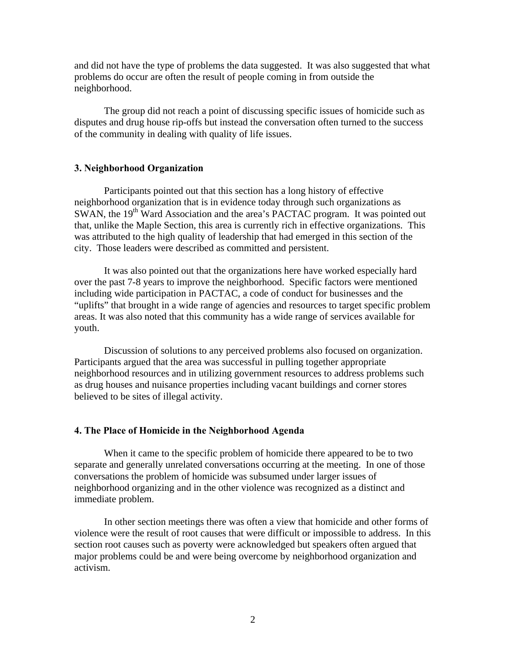and did not have the type of problems the data suggested. It was also suggested that what problems do occur are often the result of people coming in from outside the neighborhood.

 The group did not reach a point of discussing specific issues of homicide such as disputes and drug house rip-offs but instead the conversation often turned to the success of the community in dealing with quality of life issues.

# **3. Neighborhood Organization**

Participants pointed out that this section has a long history of effective neighborhood organization that is in evidence today through such organizations as SWAN, the 19<sup>th</sup> Ward Association and the area's PACTAC program. It was pointed out that, unlike the Maple Section, this area is currently rich in effective organizations. This was attributed to the high quality of leadership that had emerged in this section of the city. Those leaders were described as committed and persistent.

It was also pointed out that the organizations here have worked especially hard over the past 7-8 years to improve the neighborhood. Specific factors were mentioned including wide participation in PACTAC, a code of conduct for businesses and the "uplifts" that brought in a wide range of agencies and resources to target specific problem areas. It was also noted that this community has a wide range of services available for youth.

 Discussion of solutions to any perceived problems also focused on organization. Participants argued that the area was successful in pulling together appropriate neighborhood resources and in utilizing government resources to address problems such as drug houses and nuisance properties including vacant buildings and corner stores believed to be sites of illegal activity.

## **4. The Place of Homicide in the Neighborhood Agenda**

 When it came to the specific problem of homicide there appeared to be to two separate and generally unrelated conversations occurring at the meeting. In one of those conversations the problem of homicide was subsumed under larger issues of neighborhood organizing and in the other violence was recognized as a distinct and immediate problem.

 In other section meetings there was often a view that homicide and other forms of violence were the result of root causes that were difficult or impossible to address. In this section root causes such as poverty were acknowledged but speakers often argued that major problems could be and were being overcome by neighborhood organization and activism.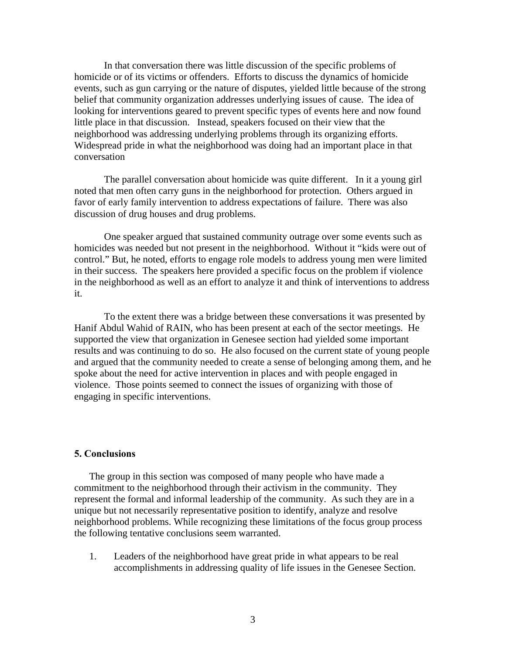In that conversation there was little discussion of the specific problems of homicide or of its victims or offenders. Efforts to discuss the dynamics of homicide events, such as gun carrying or the nature of disputes, yielded little because of the strong belief that community organization addresses underlying issues of cause. The idea of looking for interventions geared to prevent specific types of events here and now found little place in that discussion. Instead, speakers focused on their view that the neighborhood was addressing underlying problems through its organizing efforts. Widespread pride in what the neighborhood was doing had an important place in that conversation

 The parallel conversation about homicide was quite different. In it a young girl noted that men often carry guns in the neighborhood for protection. Others argued in favor of early family intervention to address expectations of failure. There was also discussion of drug houses and drug problems.

 One speaker argued that sustained community outrage over some events such as homicides was needed but not present in the neighborhood. Without it "kids were out of control." But, he noted, efforts to engage role models to address young men were limited in their success. The speakers here provided a specific focus on the problem if violence in the neighborhood as well as an effort to analyze it and think of interventions to address it.

 To the extent there was a bridge between these conversations it was presented by Hanif Abdul Wahid of RAIN, who has been present at each of the sector meetings. He supported the view that organization in Genesee section had yielded some important results and was continuing to do so. He also focused on the current state of young people and argued that the community needed to create a sense of belonging among them, and he spoke about the need for active intervention in places and with people engaged in violence. Those points seemed to connect the issues of organizing with those of engaging in specific interventions.

## **5. Conclusions**

The group in this section was composed of many people who have made a commitment to the neighborhood through their activism in the community. They represent the formal and informal leadership of the community. As such they are in a unique but not necessarily representative position to identify, analyze and resolve neighborhood problems. While recognizing these limitations of the focus group process the following tentative conclusions seem warranted.

1. Leaders of the neighborhood have great pride in what appears to be real accomplishments in addressing quality of life issues in the Genesee Section.